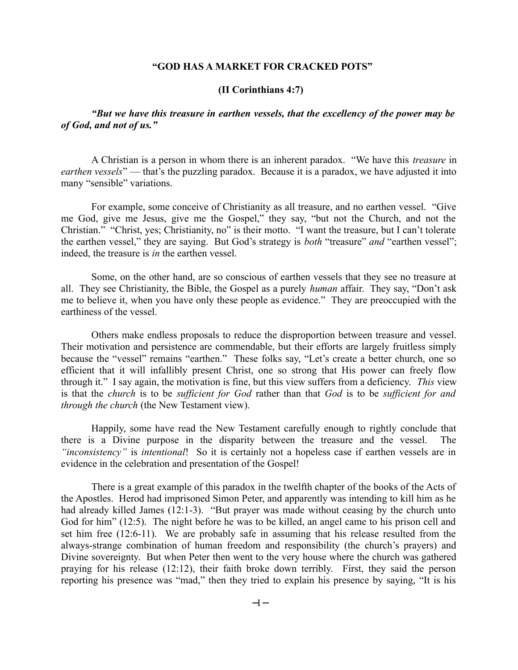## **"GOD HAS A MARKET FOR CRACKED POTS"**

#### **(II Corinthians 4:7)**

# *"But we have this treasure in earthen vessels, that the excellency of the power may be of God, and not of us."*

A Christian is a person in whom there is an inherent paradox. "We have this *treasure* in *earthen vessels*" — that's the puzzling paradox. Because it is a paradox, we have adjusted it into many "sensible" variations.

For example, some conceive of Christianity as all treasure, and no earthen vessel. "Give me God, give me Jesus, give me the Gospel," they say, "but not the Church, and not the Christian." "Christ, yes; Christianity, no" is their motto. "I want the treasure, but I can't tolerate the earthen vessel," they are saying. But God's strategy is *both* "treasure" *and* "earthen vessel"; indeed, the treasure is *in* the earthen vessel.

Some, on the other hand, are so conscious of earthen vessels that they see no treasure at all. They see Christianity, the Bible, the Gospel as a purely *human* affair. They say, "Don't ask me to believe it, when you have only these people as evidence." They are preoccupied with the earthiness of the vessel.

Others make endless proposals to reduce the disproportion between treasure and vessel. Their motivation and persistence are commendable, but their efforts are largely fruitless simply because the "vessel" remains "earthen." These folks say, "Let's create a better church, one so efficient that it will infallibly present Christ, one so strong that His power can freely flow through it." I say again, the motivation is fine, but this view suffers from a deficiency. *This* view is that the *church* is to be *sufficient for God* rather than that *God* is to be *sufficient for and through the church* (the New Testament view).

Happily, some have read the New Testament carefully enough to rightly conclude that there is a Divine purpose in the disparity between the treasure and the vessel. *"inconsistency"* is *intentional*! So it is certainly not a hopeless case if earthen vessels are in evidence in the celebration and presentation of the Gospel!

There is a great example of this paradox in the twelfth chapter of the books of the Acts of the Apostles. Herod had imprisoned Simon Peter, and apparently was intending to kill him as he had already killed James (12:1-3). "But prayer was made without ceasing by the church unto God for him" (12:5). The night before he was to be killed, an angel came to his prison cell and set him free (12:6-11). We are probably safe in assuming that his release resulted from the always-strange combination of human freedom and responsibility (the church's prayers) and Divine sovereignty. But when Peter then went to the very house where the church was gathered praying for his release (12:12), their faith broke down terribly. First, they said the person reporting his presence was "mad," then they tried to explain his presence by saying, "It is his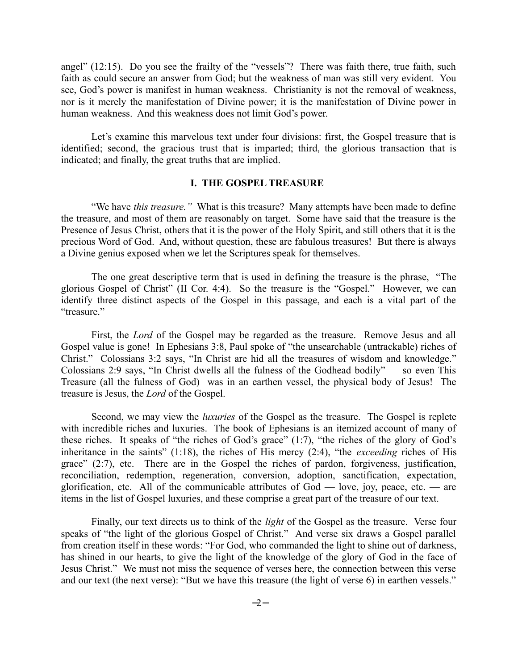angel" (12:15). Do you see the frailty of the "vessels"? There was faith there, true faith, such faith as could secure an answer from God; but the weakness of man was still very evident. You see, God's power is manifest in human weakness. Christianity is not the removal of weakness, nor is it merely the manifestation of Divine power; it is the manifestation of Divine power in human weakness. And this weakness does not limit God's power.

Let's examine this marvelous text under four divisions: first, the Gospel treasure that is identified; second, the gracious trust that is imparted; third, the glorious transaction that is indicated; and finally, the great truths that are implied.

### **I. THE GOSPEL TREASURE**

"We have *this treasure."* What is this treasure? Many attempts have been made to define the treasure, and most of them are reasonably on target. Some have said that the treasure is the Presence of Jesus Christ, others that it is the power of the Holy Spirit, and still others that it is the precious Word of God. And, without question, these are fabulous treasures! But there is always a Divine genius exposed when we let the Scriptures speak for themselves.

The one great descriptive term that is used in defining the treasure is the phrase, "The glorious Gospel of Christ" (II Cor. 4:4). So the treasure is the "Gospel." However, we can identify three distinct aspects of the Gospel in this passage, and each is a vital part of the "treasure."

First, the *Lord* of the Gospel may be regarded as the treasure. Remove Jesus and all Gospel value is gone! In Ephesians 3:8, Paul spoke of "the unsearchable (untrackable) riches of Christ." Colossians 3:2 says, "In Christ are hid all the treasures of wisdom and knowledge." Colossians 2:9 says, "In Christ dwells all the fulness of the Godhead bodily" — so even This Treasure (all the fulness of God) was in an earthen vessel, the physical body of Jesus! The treasure is Jesus, the *Lord* of the Gospel.

Second, we may view the *luxuries* of the Gospel as the treasure. The Gospel is replete with incredible riches and luxuries. The book of Ephesians is an itemized account of many of these riches. It speaks of "the riches of God's grace" (1:7), "the riches of the glory of God's inheritance in the saints" (1:18), the riches of His mercy (2:4), "the *exceeding* riches of His grace" (2:7), etc. There are in the Gospel the riches of pardon, forgiveness, justification, reconciliation, redemption, regeneration, conversion, adoption, sanctification, expectation, glorification, etc. All of the communicable attributes of  $God - love$ , joy, peace, etc.  $-$  are items in the list of Gospel luxuries, and these comprise a great part of the treasure of our text.

Finally, our text directs us to think of the *light* of the Gospel as the treasure. Verse four speaks of "the light of the glorious Gospel of Christ." And verse six draws a Gospel parallel from creation itself in these words: "For God, who commanded the light to shine out of darkness, has shined in our hearts, to give the light of the knowledge of the glory of God in the face of Jesus Christ." We must not miss the sequence of verses here, the connection between this verse and our text (the next verse): "But we have this treasure (the light of verse 6) in earthen vessels."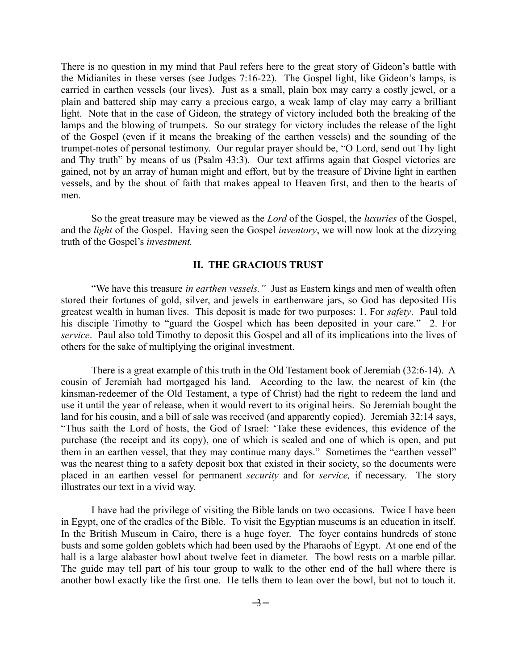There is no question in my mind that Paul refers here to the great story of Gideon's battle with the Midianites in these verses (see Judges 7:16-22). The Gospel light, like Gideon's lamps, is carried in earthen vessels (our lives). Just as a small, plain box may carry a costly jewel, or a plain and battered ship may carry a precious cargo, a weak lamp of clay may carry a brilliant light. Note that in the case of Gideon, the strategy of victory included both the breaking of the lamps and the blowing of trumpets. So our strategy for victory includes the release of the light of the Gospel (even if it means the breaking of the earthen vessels) and the sounding of the trumpet-notes of personal testimony. Our regular prayer should be, "O Lord, send out Thy light and Thy truth" by means of us (Psalm 43:3). Our text affirms again that Gospel victories are gained, not by an array of human might and effort, but by the treasure of Divine light in earthen vessels, and by the shout of faith that makes appeal to Heaven first, and then to the hearts of men.

So the great treasure may be viewed as the *Lord* of the Gospel, the *luxuries* of the Gospel, and the *light* of the Gospel. Having seen the Gospel *inventory*, we will now look at the dizzying truth of the Gospel's *investment.*

# **II. THE GRACIOUS TRUST**

"We have this treasure *in earthen vessels."* Just as Eastern kings and men of wealth often stored their fortunes of gold, silver, and jewels in earthenware jars, so God has deposited His greatest wealth in human lives. This deposit is made for two purposes: 1. For *safety*. Paul told his disciple Timothy to "guard the Gospel which has been deposited in your care." 2. For *service*. Paul also told Timothy to deposit this Gospel and all of its implications into the lives of others for the sake of multiplying the original investment.

There is a great example of this truth in the Old Testament book of Jeremiah (32:6-14). A cousin of Jeremiah had mortgaged his land. According to the law, the nearest of kin (the kinsman-redeemer of the Old Testament, a type of Christ) had the right to redeem the land and use it until the year of release, when it would revert to its original heirs. So Jeremiah bought the land for his cousin, and a bill of sale was received (and apparently copied). Jeremiah 32:14 says, "Thus saith the Lord of hosts, the God of Israel: 'Take these evidences, this evidence of the purchase (the receipt and its copy), one of which is sealed and one of which is open, and put them in an earthen vessel, that they may continue many days." Sometimes the "earthen vessel" was the nearest thing to a safety deposit box that existed in their society, so the documents were placed in an earthen vessel for permanent *security* and for *service,* if necessary. The story illustrates our text in a vivid way.

I have had the privilege of visiting the Bible lands on two occasions. Twice I have been in Egypt, one of the cradles of the Bible. To visit the Egyptian museums is an education in itself. In the British Museum in Cairo, there is a huge foyer. The foyer contains hundreds of stone busts and some golden goblets which had been used by the Pharaohs of Egypt. At one end of the hall is a large alabaster bowl about twelve feet in diameter. The bowl rests on a marble pillar. The guide may tell part of his tour group to walk to the other end of the hall where there is another bowl exactly like the first one. He tells them to lean over the bowl, but not to touch it.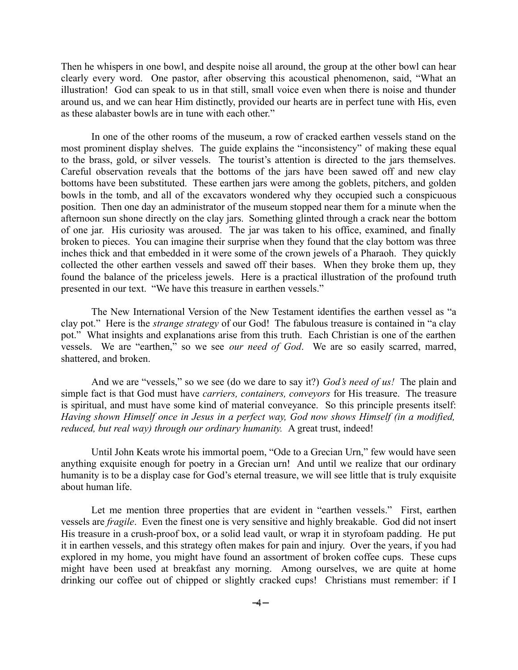Then he whispers in one bowl, and despite noise all around, the group at the other bowl can hear clearly every word. One pastor, after observing this acoustical phenomenon, said, "What an illustration! God can speak to us in that still, small voice even when there is noise and thunder around us, and we can hear Him distinctly, provided our hearts are in perfect tune with His, even as these alabaster bowls are in tune with each other."

In one of the other rooms of the museum, a row of cracked earthen vessels stand on the most prominent display shelves. The guide explains the "inconsistency" of making these equal to the brass, gold, or silver vessels. The tourist's attention is directed to the jars themselves. Careful observation reveals that the bottoms of the jars have been sawed off and new clay bottoms have been substituted. These earthen jars were among the goblets, pitchers, and golden bowls in the tomb, and all of the excavators wondered why they occupied such a conspicuous position. Then one day an administrator of the museum stopped near them for a minute when the afternoon sun shone directly on the clay jars. Something glinted through a crack near the bottom of one jar. His curiosity was aroused. The jar was taken to his office, examined, and finally broken to pieces. You can imagine their surprise when they found that the clay bottom was three inches thick and that embedded in it were some of the crown jewels of a Pharaoh. They quickly collected the other earthen vessels and sawed off their bases. When they broke them up, they found the balance of the priceless jewels. Here is a practical illustration of the profound truth presented in our text. "We have this treasure in earthen vessels."

The New International Version of the New Testament identifies the earthen vessel as "a clay pot." Here is the *strange strategy* of our God! The fabulous treasure is contained in "a clay pot." What insights and explanations arise from this truth. Each Christian is one of the earthen vessels. We are "earthen," so we see *our need of God*. We are so easily scarred, marred, shattered, and broken.

And we are "vessels," so we see (do we dare to say it?) *God's need of us!* The plain and simple fact is that God must have *carriers, containers, conveyors* for His treasure. The treasure is spiritual, and must have some kind of material conveyance. So this principle presents itself: *Having shown Himself once in Jesus in a perfect way, God now shows Himself (in a modified, reduced, but real way) through our ordinary humanity.* A great trust, indeed!

Until John Keats wrote his immortal poem, "Ode to a Grecian Urn," few would have seen anything exquisite enough for poetry in a Grecian urn! And until we realize that our ordinary humanity is to be a display case for God's eternal treasure, we will see little that is truly exquisite about human life.

Let me mention three properties that are evident in "earthen vessels." First, earthen vessels are *fragile*. Even the finest one is very sensitive and highly breakable. God did not insert His treasure in a crush-proof box, or a solid lead vault, or wrap it in styrofoam padding. He put it in earthen vessels, and this strategy often makes for pain and injury. Over the years, if you had explored in my home, you might have found an assortment of broken coffee cups. These cups might have been used at breakfast any morning. Among ourselves, we are quite at home drinking our coffee out of chipped or slightly cracked cups! Christians must remember: if I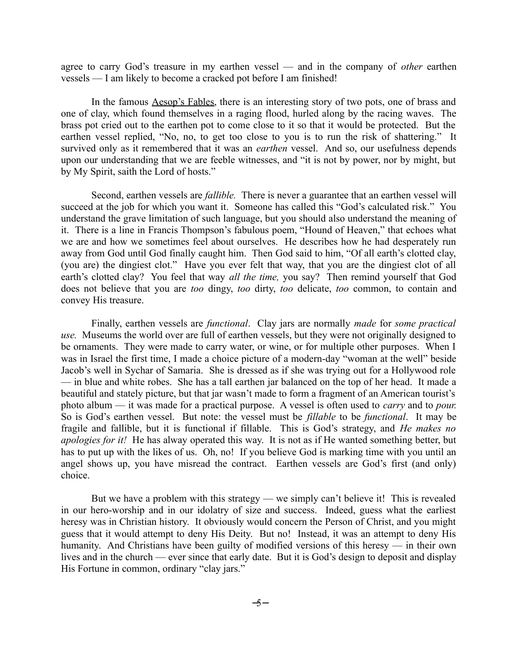agree to carry God's treasure in my earthen vessel — and in the company of *other* earthen vessels — I am likely to become a cracked pot before I am finished!

In the famous Aesop's Fables, there is an interesting story of two pots, one of brass and one of clay, which found themselves in a raging flood, hurled along by the racing waves. The brass pot cried out to the earthen pot to come close to it so that it would be protected. But the earthen vessel replied, "No, no, to get too close to you is to run the risk of shattering." It survived only as it remembered that it was an *earthen* vessel. And so, our usefulness depends upon our understanding that we are feeble witnesses, and "it is not by power, nor by might, but by My Spirit, saith the Lord of hosts."

Second, earthen vessels are *fallible.* There is never a guarantee that an earthen vessel will succeed at the job for which you want it. Someone has called this "God's calculated risk." You understand the grave limitation of such language, but you should also understand the meaning of it. There is a line in Francis Thompson's fabulous poem, "Hound of Heaven," that echoes what we are and how we sometimes feel about ourselves. He describes how he had desperately run away from God until God finally caught him. Then God said to him, "Of all earth's clotted clay, (you are) the dingiest clot." Have you ever felt that way, that you are the dingiest clot of all earth's clotted clay? You feel that way *all the time,* you say? Then remind yourself that God does not believe that you are *too* dingy, *too* dirty, *too* delicate, *too* common, to contain and convey His treasure.

Finally, earthen vessels are *functional*. Clay jars are normally *made* for *some practical use.* Museums the world over are full of earthen vessels, but they were not originally designed to be ornaments. They were made to carry water, or wine, or for multiple other purposes. When I was in Israel the first time, I made a choice picture of a modern-day "woman at the well" beside Jacob's well in Sychar of Samaria. She is dressed as if she was trying out for a Hollywood role — in blue and white robes. She has a tall earthen jar balanced on the top of her head. It made a beautiful and stately picture, but that jar wasn't made to form a fragment of an American tourist's photo album — it was made for a practical purpose. A vessel is often used to *carry* and to *pour.* So is God's earthen vessel. But note: the vessel must be *fillable* to be *functional*. It may be fragile and fallible, but it is functional if fillable. This is God's strategy, and *He makes no apologies for it!* He has alway operated this way. It is not as if He wanted something better, but has to put up with the likes of us. Oh, no! If you believe God is marking time with you until an angel shows up, you have misread the contract. Earthen vessels are God's first (and only) choice.

But we have a problem with this strategy — we simply can't believe it! This is revealed in our hero-worship and in our idolatry of size and success. Indeed, guess what the earliest heresy was in Christian history. It obviously would concern the Person of Christ, and you might guess that it would attempt to deny His Deity. But no! Instead, it was an attempt to deny His humanity. And Christians have been guilty of modified versions of this heresy — in their own lives and in the church — ever since that early date. But it is God's design to deposit and display His Fortune in common, ordinary "clay jars."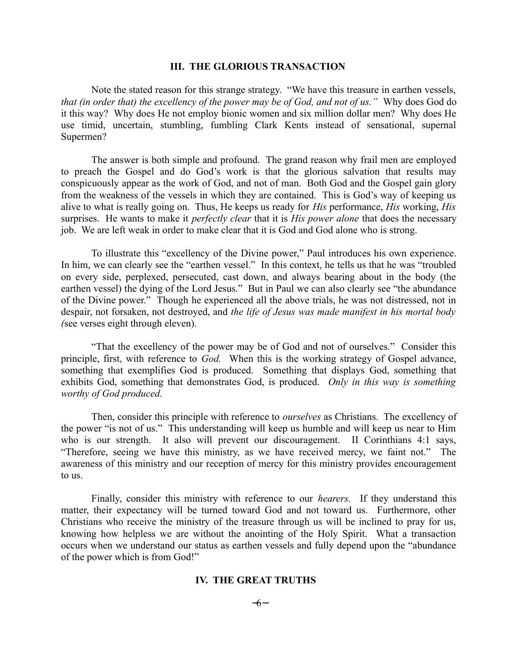#### **III. THE GLORIOUS TRANSACTION**

Note the stated reason for this strange strategy. "We have this treasure in earthen vessels, *that (in order that) the excellency of the power may be of God, and not of us."* Why does God do it this way? Why does He not employ bionic women and six million dollar men? Why does He use timid, uncertain, stumbling, fumbling Clark Kents instead of sensational, supernal Supermen?

The answer is both simple and profound. The grand reason why frail men are employed to preach the Gospel and do God's work is that the glorious salvation that results may conspicuously appear as the work of God, and not of man. Both God and the Gospel gain glory from the weakness of the vessels in which they are contained. This is God's way of keeping us alive to what is really going on. Thus, He keeps us ready for *His* performance, *His* working, *His* surprises. He wants to make it *perfectly clear* that it is *His power alone* that does the necessary job. We are left weak in order to make clear that it is God and God alone who is strong.

To illustrate this "excellency of the Divine power," Paul introduces his own experience. In him, we can clearly see the "earthen vessel." In this context, he tells us that he was "troubled on every side, perplexed, persecuted, cast down, and always bearing about in the body (the earthen vessel) the dying of the Lord Jesus." But in Paul we can also clearly see "the abundance of the Divine power." Though he experienced all the above trials, he was not distressed, not in despair, not forsaken, not destroyed, and *the life of Jesus was made manifest in his mortal body (*see verses eight through eleven).

"That the excellency of the power may be of God and not of ourselves." Consider this principle, first, with reference to *God.* When this is the working strategy of Gospel advance, something that exemplifies God is produced. Something that displays God, something that exhibits God, something that demonstrates God, is produced. *Only in this way is something worthy of God produced.*

Then, consider this principle with reference to *ourselves* as Christians. The excellency of the power "is not of us." This understanding will keep us humble and will keep us near to Him who is our strength. It also will prevent our discouragement. II Corinthians 4:1 says, "Therefore, seeing we have this ministry, as we have received mercy, we faint not." The awareness of this ministry and our reception of mercy for this ministry provides encouragement to us.

Finally, consider this ministry with reference to our *hearers.* If they understand this matter, their expectancy will be turned toward God and not toward us. Furthermore, other Christians who receive the ministry of the treasure through us will be inclined to pray for us, knowing how helpless we are without the anointing of the Holy Spirit. What a transaction occurs when we understand our status as earthen vessels and fully depend upon the "abundance of the power which is from God!"

#### **IV. THE GREAT TRUTHS**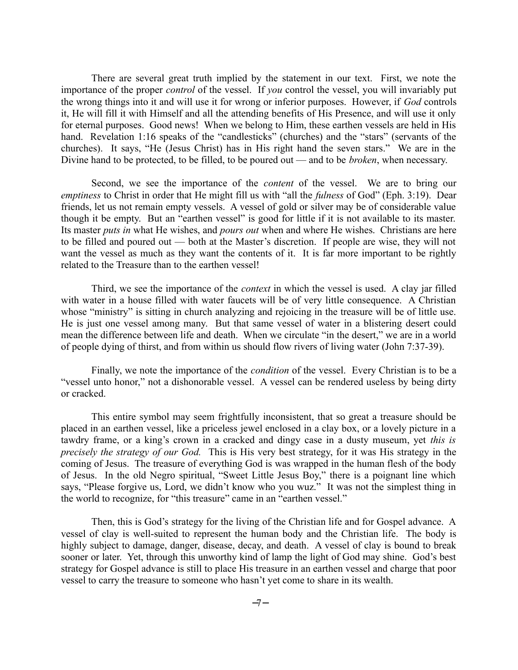There are several great truth implied by the statement in our text. First, we note the importance of the proper *control* of the vessel. If *you* control the vessel, you will invariably put the wrong things into it and will use it for wrong or inferior purposes. However, if *God* controls it, He will fill it with Himself and all the attending benefits of His Presence, and will use it only for eternal purposes. Good news! When we belong to Him, these earthen vessels are held in His hand. Revelation 1:16 speaks of the "candlesticks" (churches) and the "stars" (servants of the churches). It says, "He (Jesus Christ) has in His right hand the seven stars." We are in the Divine hand to be protected, to be filled, to be poured out — and to be *broken*, when necessary.

Second, we see the importance of the *content* of the vessel. We are to bring our *emptiness* to Christ in order that He might fill us with "all the *fulness* of God" (Eph. 3:19). Dear friends, let us not remain empty vessels. A vessel of gold or silver may be of considerable value though it be empty. But an "earthen vessel" is good for little if it is not available to its master. Its master *puts in* what He wishes, and *pours out* when and where He wishes. Christians are here to be filled and poured out — both at the Master's discretion. If people are wise, they will not want the vessel as much as they want the contents of it. It is far more important to be rightly related to the Treasure than to the earthen vessel!

Third, we see the importance of the *context* in which the vessel is used. A clay jar filled with water in a house filled with water faucets will be of very little consequence. A Christian whose "ministry" is sitting in church analyzing and rejoicing in the treasure will be of little use. He is just one vessel among many. But that same vessel of water in a blistering desert could mean the difference between life and death. When we circulate "in the desert," we are in a world of people dying of thirst, and from within us should flow rivers of living water (John 7:37-39).

Finally, we note the importance of the *condition* of the vessel. Every Christian is to be a "vessel unto honor," not a dishonorable vessel. A vessel can be rendered useless by being dirty or cracked.

This entire symbol may seem frightfully inconsistent, that so great a treasure should be placed in an earthen vessel, like a priceless jewel enclosed in a clay box, or a lovely picture in a tawdry frame, or a king's crown in a cracked and dingy case in a dusty museum, yet *this is precisely the strategy of our God.* This is His very best strategy, for it was His strategy in the coming of Jesus. The treasure of everything God is was wrapped in the human flesh of the body of Jesus. In the old Negro spiritual, "Sweet Little Jesus Boy," there is a poignant line which says, "Please forgive us, Lord, we didn't know who you wuz." It was not the simplest thing in the world to recognize, for "this treasure" came in an "earthen vessel."

Then, this is God's strategy for the living of the Christian life and for Gospel advance. A vessel of clay is well-suited to represent the human body and the Christian life. The body is highly subject to damage, danger, disease, decay, and death. A vessel of clay is bound to break sooner or later. Yet, through this unworthy kind of lamp the light of God may shine. God's best strategy for Gospel advance is still to place His treasure in an earthen vessel and charge that poor vessel to carry the treasure to someone who hasn't yet come to share in its wealth.